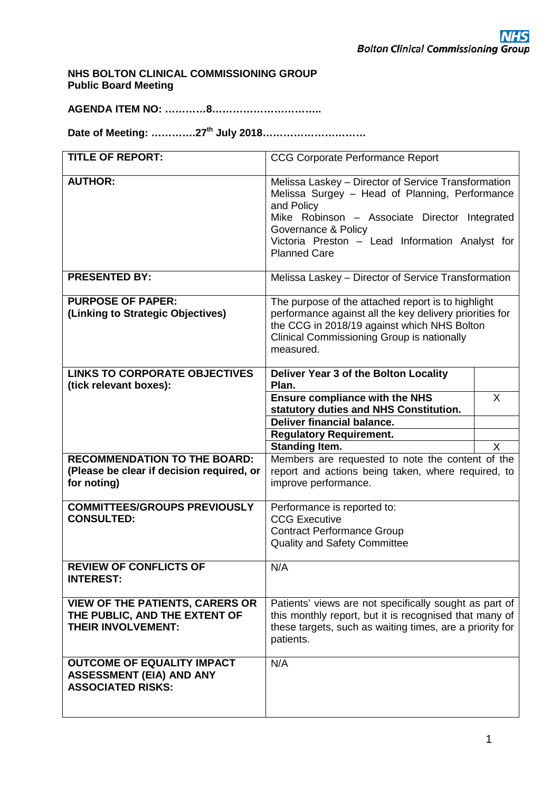**NHS BOLTON CLINICAL COMMISSIONING GROUP Public Board Meeting**

**AGENDA ITEM NO: …………8…………………………..**

**Date of Meeting: ………….27th July 2018…………………………**

| <b>TITLE OF REPORT:</b>                                                                              | <b>CCG Corporate Performance Report</b>                                                                                                                                                                                                                               |              |  |  |  |  |  |  |  |
|------------------------------------------------------------------------------------------------------|-----------------------------------------------------------------------------------------------------------------------------------------------------------------------------------------------------------------------------------------------------------------------|--------------|--|--|--|--|--|--|--|
| <b>AUTHOR:</b>                                                                                       | Melissa Laskey - Director of Service Transformation<br>Melissa Surgey - Head of Planning, Performance<br>and Policy<br>Mike Robinson - Associate Director Integrated<br>Governance & Policy<br>Victoria Preston - Lead Information Analyst for<br><b>Planned Care</b> |              |  |  |  |  |  |  |  |
| <b>PRESENTED BY:</b>                                                                                 | Melissa Laskey - Director of Service Transformation                                                                                                                                                                                                                   |              |  |  |  |  |  |  |  |
| <b>PURPOSE OF PAPER:</b><br>(Linking to Strategic Objectives)                                        | The purpose of the attached report is to highlight<br>performance against all the key delivery priorities for<br>the CCG in 2018/19 against which NHS Bolton<br><b>Clinical Commissioning Group is nationally</b><br>measured.                                        |              |  |  |  |  |  |  |  |
| <b>LINKS TO CORPORATE OBJECTIVES</b><br>(tick relevant boxes):                                       | Deliver Year 3 of the Bolton Locality<br>Plan.                                                                                                                                                                                                                        |              |  |  |  |  |  |  |  |
|                                                                                                      | <b>Ensure compliance with the NHS</b><br>statutory duties and NHS Constitution.<br><b>Deliver financial balance.</b>                                                                                                                                                  | $\sf X$      |  |  |  |  |  |  |  |
|                                                                                                      | <b>Regulatory Requirement.</b><br><b>Standing Item.</b>                                                                                                                                                                                                               | $\mathsf{X}$ |  |  |  |  |  |  |  |
| <b>RECOMMENDATION TO THE BOARD:</b><br>(Please be clear if decision required, or<br>for noting)      | Members are requested to note the content of the<br>report and actions being taken, where required, to<br>improve performance.                                                                                                                                        |              |  |  |  |  |  |  |  |
| <b>COMMITTEES/GROUPS PREVIOUSLY</b><br><b>CONSULTED:</b>                                             | Performance is reported to:<br><b>CCG Executive</b><br><b>Contract Performance Group</b><br><b>Quality and Safety Committee</b>                                                                                                                                       |              |  |  |  |  |  |  |  |
| <b>REVIEW OF CONFLICTS OF</b><br><b>INTEREST:</b>                                                    | N/A                                                                                                                                                                                                                                                                   |              |  |  |  |  |  |  |  |
| <b>VIEW OF THE PATIENTS, CARERS OR</b><br>THE PUBLIC, AND THE EXTENT OF<br><b>THEIR INVOLVEMENT:</b> | Patients' views are not specifically sought as part of<br>this monthly report, but it is recognised that many of<br>these targets, such as waiting times, are a priority for<br>patients.                                                                             |              |  |  |  |  |  |  |  |
| <b>OUTCOME OF EQUALITY IMPACT</b><br><b>ASSESSMENT (EIA) AND ANY</b><br><b>ASSOCIATED RISKS:</b>     | N/A                                                                                                                                                                                                                                                                   |              |  |  |  |  |  |  |  |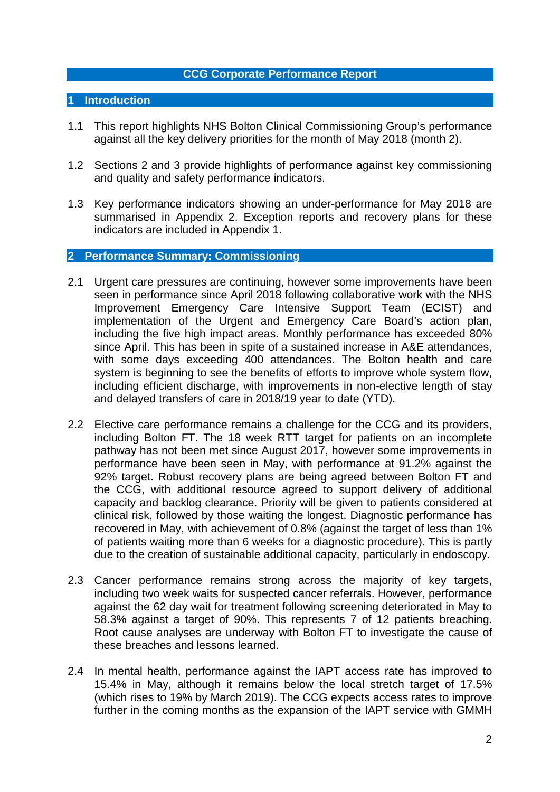## **CCG Corporate Performance Report**

## **1 Introduction**

- 1.1 This report highlights NHS Bolton Clinical Commissioning Group's performance against all the key delivery priorities for the month of May 2018 (month 2).
- 1.2 Sections 2 and 3 provide highlights of performance against key commissioning and quality and safety performance indicators.
- 1.3 Key performance indicators showing an under-performance for May 2018 are summarised in Appendix 2. Exception reports and recovery plans for these indicators are included in Appendix 1.

## **2 Performance Summary: Commissioning**

- 2.1 Urgent care pressures are continuing, however some improvements have been seen in performance since April 2018 following collaborative work with the NHS Improvement Emergency Care Intensive Support Team (ECIST) and implementation of the Urgent and Emergency Care Board's action plan, including the five high impact areas. Monthly performance has exceeded 80% since April. This has been in spite of a sustained increase in A&E attendances, with some days exceeding 400 attendances. The Bolton health and care system is beginning to see the benefits of efforts to improve whole system flow, including efficient discharge, with improvements in non-elective length of stay and delayed transfers of care in 2018/19 year to date (YTD).
- 2.2 Elective care performance remains a challenge for the CCG and its providers, including Bolton FT. The 18 week RTT target for patients on an incomplete pathway has not been met since August 2017, however some improvements in performance have been seen in May, with performance at 91.2% against the 92% target. Robust recovery plans are being agreed between Bolton FT and the CCG, with additional resource agreed to support delivery of additional capacity and backlog clearance. Priority will be given to patients considered at clinical risk, followed by those waiting the longest. Diagnostic performance has recovered in May, with achievement of 0.8% (against the target of less than 1% of patients waiting more than 6 weeks for a diagnostic procedure). This is partly due to the creation of sustainable additional capacity, particularly in endoscopy.
- 2.3 Cancer performance remains strong across the majority of key targets, including two week waits for suspected cancer referrals. However, performance against the 62 day wait for treatment following screening deteriorated in May to 58.3% against a target of 90%. This represents 7 of 12 patients breaching. Root cause analyses are underway with Bolton FT to investigate the cause of these breaches and lessons learned.
- 2.4 In mental health, performance against the IAPT access rate has improved to 15.4% in May, although it remains below the local stretch target of 17.5% (which rises to 19% by March 2019). The CCG expects access rates to improve further in the coming months as the expansion of the IAPT service with GMMH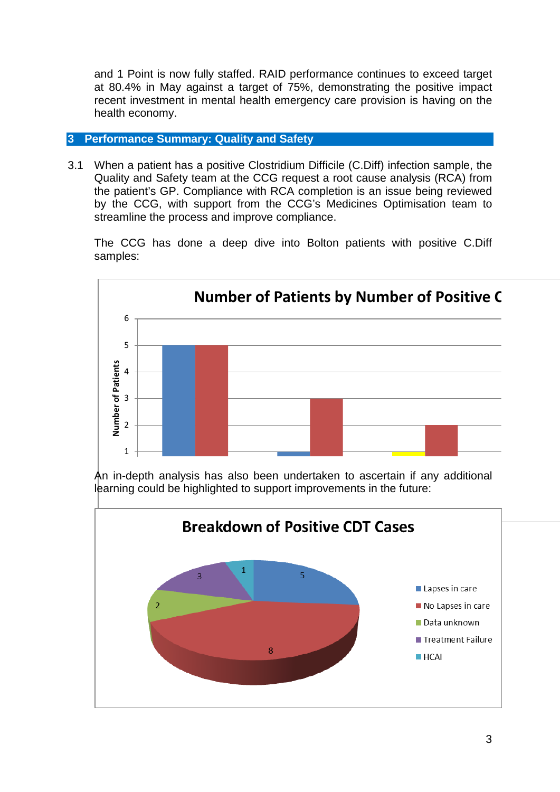and 1 Point is now fully staffed. RAID performance continues to exceed target at 80.4% in May against a target of 75%, demonstrating the positive impact recent investment in mental health emergency care provision is having on the health economy.

# **3 Performance Summary: Quality and Safety**

3.1 When a patient has a positive Clostridium Difficile (C.Diff) infection sample, the Quality and Safety team at the CCG request a root cause analysis (RCA) from the patient's GP. Compliance with RCA completion is an issue being reviewed by the CCG, with support from the CCG's Medicines Optimisation team to streamline the process and improve compliance.

The CCG has done a deep dive into Bolton patients with positive C.Diff samples:





 learning could be highlighted to support improvements in the future: An in-depth analysis has also been undertaken to ascertain if any additional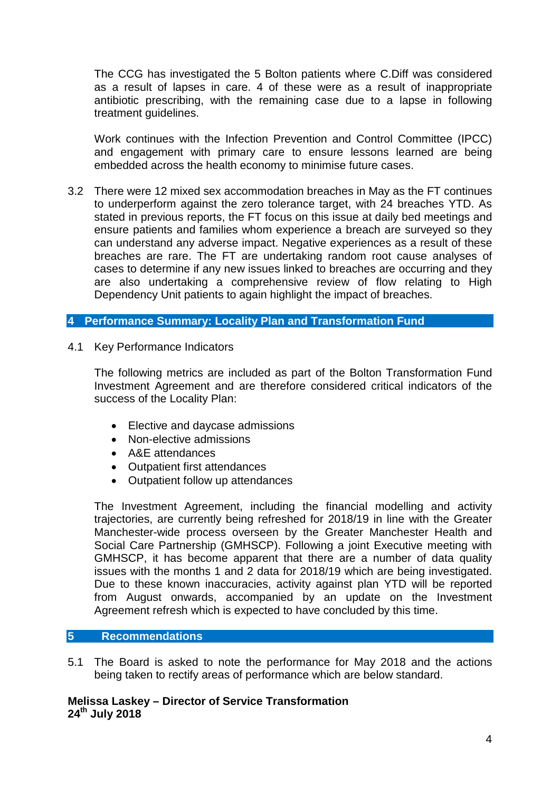The CCG has investigated the 5 Bolton patients where C.Diff was considered as a result of lapses in care. 4 of these were as a result of inappropriate antibiotic prescribing, with the remaining case due to a lapse in following treatment guidelines.

Work continues with the Infection Prevention and Control Committee (IPCC) and engagement with primary care to ensure lessons learned are being embedded across the health economy to minimise future cases.

3.2 There were 12 mixed sex accommodation breaches in May as the FT continues to underperform against the zero tolerance target, with 24 breaches YTD. As stated in previous reports, the FT focus on this issue at daily bed meetings and ensure patients and families whom experience a breach are surveyed so they can understand any adverse impact. Negative experiences as a result of these breaches are rare. The FT are undertaking random root cause analyses of cases to determine if any new issues linked to breaches are occurring and they are also undertaking a comprehensive review of flow relating to High Dependency Unit patients to again highlight the impact of breaches.

# **4 Performance Summary: Locality Plan and Transformation Fund**

4.1 Key Performance Indicators

The following metrics are included as part of the Bolton Transformation Fund Investment Agreement and are therefore considered critical indicators of the success of the Locality Plan:

- Elective and daycase admissions
- Non-elective admissions
- A&E attendances
- Outpatient first attendances
- Outpatient follow up attendances

The Investment Agreement, including the financial modelling and activity trajectories, are currently being refreshed for 2018/19 in line with the Greater Manchester-wide process overseen by the Greater Manchester Health and Social Care Partnership (GMHSCP). Following a joint Executive meeting with GMHSCP, it has become apparent that there are a number of data quality issues with the months 1 and 2 data for 2018/19 which are being investigated. Due to these known inaccuracies, activity against plan YTD will be reported from August onwards, accompanied by an update on the Investment Agreement refresh which is expected to have concluded by this time.

## **5 Recommendations**

5.1 The Board is asked to note the performance for May 2018 and the actions being taken to rectify areas of performance which are below standard.

**Melissa Laskey – Director of Service Transformation 24th July 2018**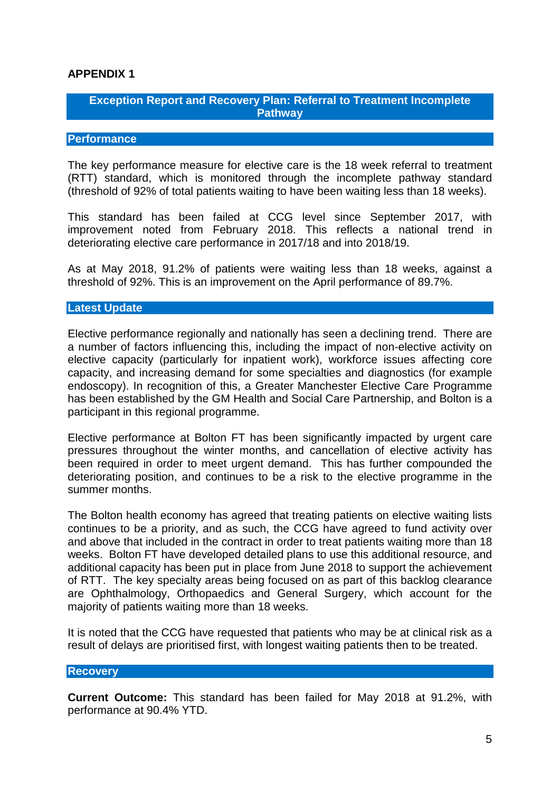# **APPENDIX 1**

# **Exception Report and Recovery Plan: Referral to Treatment Incomplete Pathway**

## **Performance**

The key performance measure for elective care is the 18 week referral to treatment (RTT) standard, which is monitored through the incomplete pathway standard (threshold of 92% of total patients waiting to have been waiting less than 18 weeks).

This standard has been failed at CCG level since September 2017, with improvement noted from February 2018. This reflects a national trend in deteriorating elective care performance in 2017/18 and into 2018/19.

As at May 2018, 91.2% of patients were waiting less than 18 weeks, against a threshold of 92%. This is an improvement on the April performance of 89.7%.

#### **Latest Update**

Elective performance regionally and nationally has seen a declining trend. There are a number of factors influencing this, including the impact of non-elective activity on elective capacity (particularly for inpatient work), workforce issues affecting core capacity, and increasing demand for some specialties and diagnostics (for example endoscopy). In recognition of this, a Greater Manchester Elective Care Programme has been established by the GM Health and Social Care Partnership, and Bolton is a participant in this regional programme.

Elective performance at Bolton FT has been significantly impacted by urgent care pressures throughout the winter months, and cancellation of elective activity has been required in order to meet urgent demand. This has further compounded the deteriorating position, and continues to be a risk to the elective programme in the summer months.

The Bolton health economy has agreed that treating patients on elective waiting lists continues to be a priority, and as such, the CCG have agreed to fund activity over and above that included in the contract in order to treat patients waiting more than 18 weeks. Bolton FT have developed detailed plans to use this additional resource, and additional capacity has been put in place from June 2018 to support the achievement of RTT. The key specialty areas being focused on as part of this backlog clearance are Ophthalmology, Orthopaedics and General Surgery, which account for the majority of patients waiting more than 18 weeks.

It is noted that the CCG have requested that patients who may be at clinical risk as a result of delays are prioritised first, with longest waiting patients then to be treated.

#### **Recovery**

**Current Outcome:** This standard has been failed for May 2018 at 91.2%, with performance at 90.4% YTD.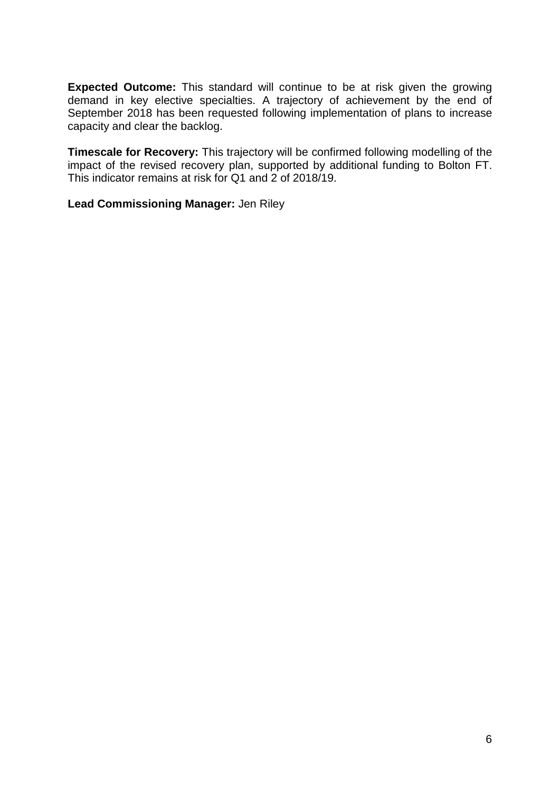**Expected Outcome:** This standard will continue to be at risk given the growing demand in key elective specialties. A trajectory of achievement by the end of September 2018 has been requested following implementation of plans to increase capacity and clear the backlog.

**Timescale for Recovery:** This trajectory will be confirmed following modelling of the impact of the revised recovery plan, supported by additional funding to Bolton FT. This indicator remains at risk for Q1 and 2 of 2018/19.

**Lead Commissioning Manager:** Jen Riley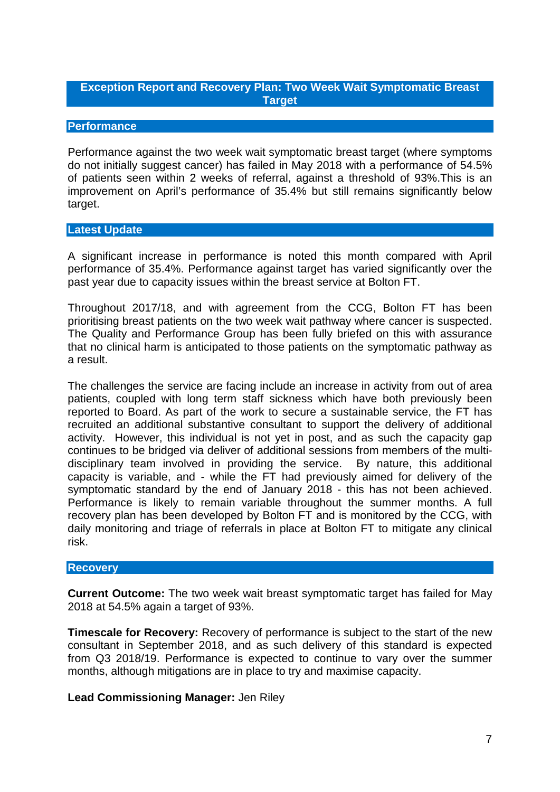# **Exception Report and Recovery Plan: Two Week Wait Symptomatic Breast Target**

## **Performance**

Performance against the two week wait symptomatic breast target (where symptoms do not initially suggest cancer) has failed in May 2018 with a performance of 54.5% of patients seen within 2 weeks of referral, against a threshold of 93%.This is an improvement on April's performance of 35.4% but still remains significantly below target.

## **Latest Update**

A significant increase in performance is noted this month compared with April performance of 35.4%. Performance against target has varied significantly over the past year due to capacity issues within the breast service at Bolton FT.

Throughout 2017/18, and with agreement from the CCG, Bolton FT has been prioritising breast patients on the two week wait pathway where cancer is suspected. The Quality and Performance Group has been fully briefed on this with assurance that no clinical harm is anticipated to those patients on the symptomatic pathway as a result.

The challenges the service are facing include an increase in activity from out of area patients, coupled with long term staff sickness which have both previously been reported to Board. As part of the work to secure a sustainable service, the FT has recruited an additional substantive consultant to support the delivery of additional activity. However, this individual is not yet in post, and as such the capacity gap continues to be bridged via deliver of additional sessions from members of the multidisciplinary team involved in providing the service. By nature, this additional capacity is variable, and - while the FT had previously aimed for delivery of the symptomatic standard by the end of January 2018 - this has not been achieved. Performance is likely to remain variable throughout the summer months. A full recovery plan has been developed by Bolton FT and is monitored by the CCG, with daily monitoring and triage of referrals in place at Bolton FT to mitigate any clinical risk.

## **Recovery**

**Current Outcome:** The two week wait breast symptomatic target has failed for May 2018 at 54.5% again a target of 93%.

**Timescale for Recovery:** Recovery of performance is subject to the start of the new consultant in September 2018, and as such delivery of this standard is expected from Q3 2018/19. Performance is expected to continue to vary over the summer months, although mitigations are in place to try and maximise capacity.

# **Lead Commissioning Manager:** Jen Riley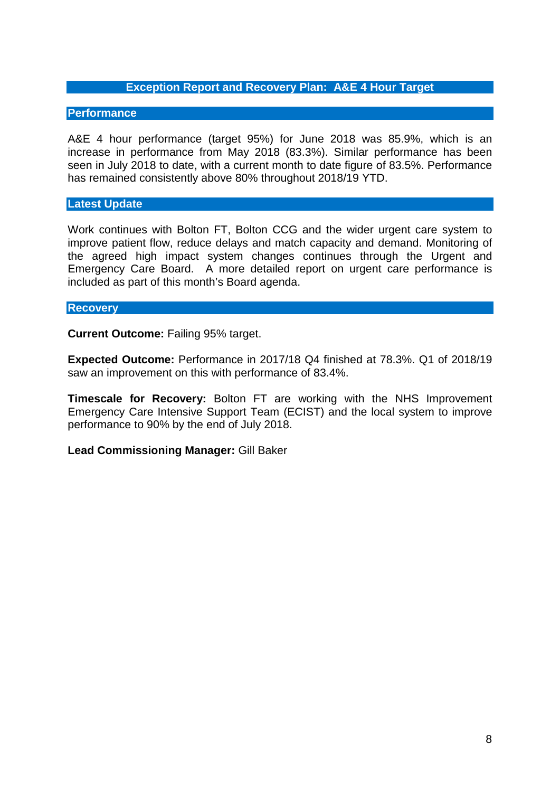## **Exception Report and Recovery Plan: A&E 4 Hour Target**

#### **Performance**

A&E 4 hour performance (target 95%) for June 2018 was 85.9%, which is an increase in performance from May 2018 (83.3%). Similar performance has been seen in July 2018 to date, with a current month to date figure of 83.5%. Performance has remained consistently above 80% throughout 2018/19 YTD.

## **Latest Update**

Work continues with Bolton FT, Bolton CCG and the wider urgent care system to improve patient flow, reduce delays and match capacity and demand. Monitoring of the agreed high impact system changes continues through the Urgent and Emergency Care Board. A more detailed report on urgent care performance is included as part of this month's Board agenda.

#### **Recovery**

**Current Outcome:** Failing 95% target.

**Expected Outcome:** Performance in 2017/18 Q4 finished at 78.3%. Q1 of 2018/19 saw an improvement on this with performance of 83.4%.

**Timescale for Recovery:** Bolton FT are working with the NHS Improvement Emergency Care Intensive Support Team (ECIST) and the local system to improve performance to 90% by the end of July 2018.

**Lead Commissioning Manager:** Gill Baker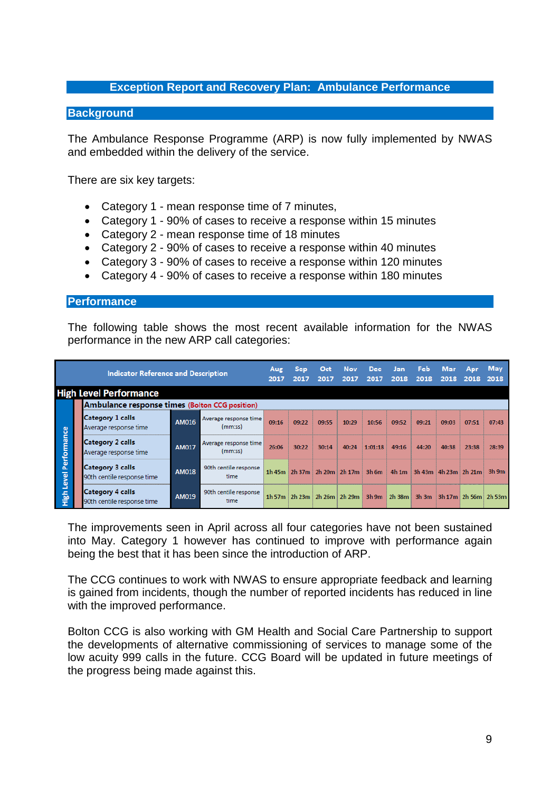## **Exception Report and Recovery Plan: Ambulance Performance**

#### **Background**

The Ambulance Response Programme (ARP) is now fully implemented by NWAS and embedded within the delivery of the service.

There are six key targets:

- Category 1 mean response time of 7 minutes,
- Category 1 90% of cases to receive a response within 15 minutes
- Category 2 mean response time of 18 minutes
- Category 2 90% of cases to receive a response within 40 minutes
- Category 3 90% of cases to receive a response within 120 minutes
- Category 4 90% of cases to receive a response within 180 minutes

#### **Performance**

The following table shows the most recent available information for the NWAS performance in the new ARP call categories:

|             | <b>Indicator Reference and Description</b>            | Aug<br>2017  | <b>Sep</b><br>2017               | Oct<br>2017 | <b>Nov</b><br>2017 | <b>Dec</b><br>2017                        | <b>Jan</b><br>2018 | Feb<br>2018 | Mar<br>2018      | Apr<br>2018                                                 | May<br>2018 |                            |         |
|-------------|-------------------------------------------------------|--------------|----------------------------------|-------------|--------------------|-------------------------------------------|--------------------|-------------|------------------|-------------------------------------------------------------|-------------|----------------------------|---------|
|             | <b>High Level Performance</b>                         |              |                                  |             |                    |                                           |                    |             |                  |                                                             |             |                            |         |
|             | Ambulance response times (Bolton CCG position)        |              |                                  |             |                    |                                           |                    |             |                  |                                                             |             |                            |         |
|             | <b>Category 1 calls</b><br>Average response time      | <b>AM016</b> | Average response time<br>(mm:ss) | 09:16       | 09:22              | 09:55                                     | 10:29              | 10:56       | 09:52            | 09:21                                                       | 09:03       | 07:51                      | 07:43   |
| Performance | <b>Category 2 calls</b><br>Average response time      | <b>AM017</b> | Average response time<br>(mm:ss) | 26:06       | 30:22              | 30:14                                     | 40:24              | 1:01:18     | 49:16            | 44:20                                                       | 40:38       | 23:38                      | 28:39   |
| Level       | <b>Category 3 calls</b><br>90th centile response time | <b>AM018</b> | 90th centile response<br>time    |             |                    | 1h 45m $2h$ 37m $2h$ 20m $2h$ 17m $3h$ 6m |                    |             | 4h1m             | $\frac{1}{2}$ 3h 43m $\frac{1}{2}$ 4h 23m $\frac{1}{2}$ 21m |             |                            | $3h$ 9m |
| High        | <b>Category 4 calls</b><br>90th centile response time | AM019        | 90th centile response<br>time    |             |                    | 1h 57m 2h 23m 2h 26m 2h 29m               |                    |             | $3h$ 9m $2h$ 38m |                                                             |             | 3h 3m 3h 17m 2h 56m 2h 53m |         |

The improvements seen in April across all four categories have not been sustained into May. Category 1 however has continued to improve with performance again being the best that it has been since the introduction of ARP.

The CCG continues to work with NWAS to ensure appropriate feedback and learning is gained from incidents, though the number of reported incidents has reduced in line with the improved performance.

Bolton CCG is also working with GM Health and Social Care Partnership to support the developments of alternative commissioning of services to manage some of the low acuity 999 calls in the future. CCG Board will be updated in future meetings of the progress being made against this.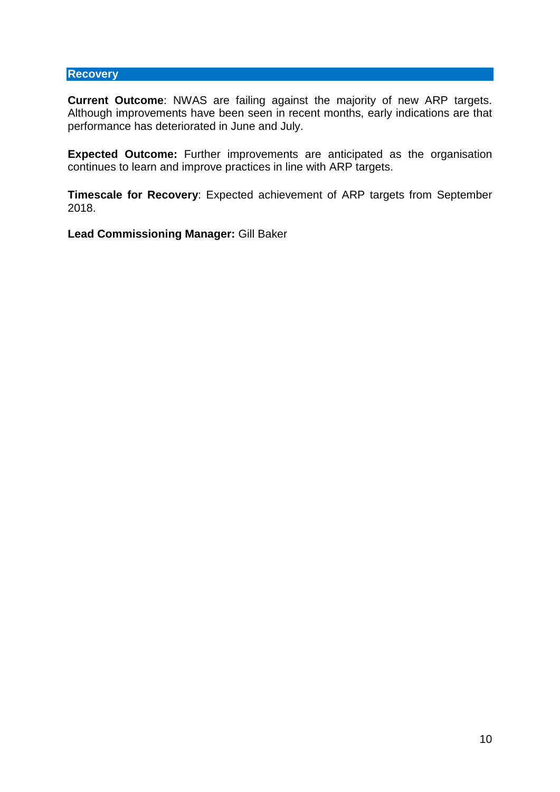### **Recovery**

**Current Outcome**: NWAS are failing against the majority of new ARP targets. Although improvements have been seen in recent months, early indications are that performance has deteriorated in June and July.

**Expected Outcome:** Further improvements are anticipated as the organisation continues to learn and improve practices in line with ARP targets.

**Timescale for Recovery**: Expected achievement of ARP targets from September 2018.

**Lead Commissioning Manager:** Gill Baker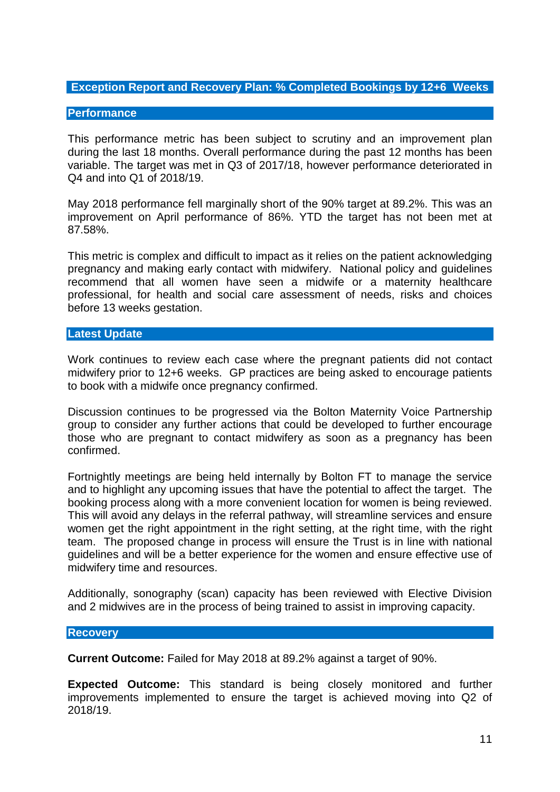# **Exception Report and Recovery Plan: % Completed Bookings by 12+6 Weeks**

#### **Performance**

This performance metric has been subject to scrutiny and an improvement plan during the last 18 months. Overall performance during the past 12 months has been variable. The target was met in Q3 of 2017/18, however performance deteriorated in Q4 and into Q1 of 2018/19.

May 2018 performance fell marginally short of the 90% target at 89.2%. This was an improvement on April performance of 86%. YTD the target has not been met at 87.58%.

This metric is complex and difficult to impact as it relies on the patient acknowledging pregnancy and making early contact with midwifery. National policy and guidelines recommend that all women have seen a midwife or a maternity healthcare professional, for health and social care assessment of needs, risks and choices before 13 weeks gestation.

#### **Latest Update**

Work continues to review each case where the pregnant patients did not contact midwifery prior to 12+6 weeks. GP practices are being asked to encourage patients to book with a midwife once pregnancy confirmed.

Discussion continues to be progressed via the Bolton Maternity Voice Partnership group to consider any further actions that could be developed to further encourage those who are pregnant to contact midwifery as soon as a pregnancy has been confirmed.

Fortnightly meetings are being held internally by Bolton FT to manage the service and to highlight any upcoming issues that have the potential to affect the target. The booking process along with a more convenient location for women is being reviewed. This will avoid any delays in the referral pathway, will streamline services and ensure women get the right appointment in the right setting, at the right time, with the right team. The proposed change in process will ensure the Trust is in line with national guidelines and will be a better experience for the women and ensure effective use of midwifery time and resources.

Additionally, sonography (scan) capacity has been reviewed with Elective Division and 2 midwives are in the process of being trained to assist in improving capacity.

#### **Recovery**

**Current Outcome:** Failed for May 2018 at 89.2% against a target of 90%.

**Expected Outcome:** This standard is being closely monitored and further improvements implemented to ensure the target is achieved moving into Q2 of 2018/19.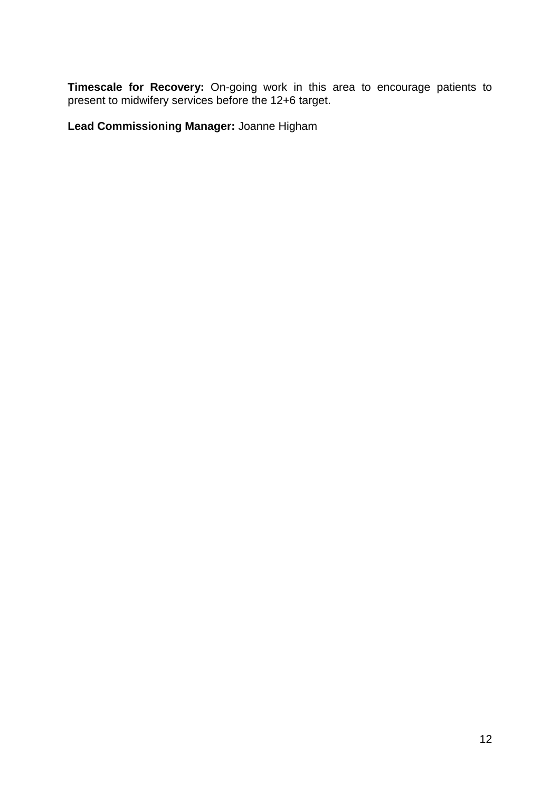**Timescale for Recovery:** On-going work in this area to encourage patients to present to midwifery services before the 12+6 target.

**Lead Commissioning Manager:** Joanne Higham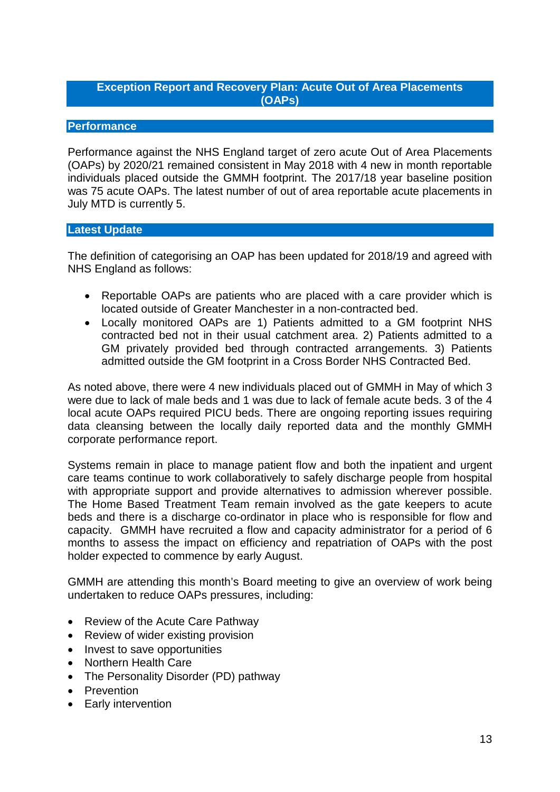# **Exception Report and Recovery Plan: Acute Out of Area Placements (OAPs)**

# **Performance**

Performance against the NHS England target of zero acute Out of Area Placements (OAPs) by 2020/21 remained consistent in May 2018 with 4 new in month reportable individuals placed outside the GMMH footprint. The 2017/18 year baseline position was 75 acute OAPs. The latest number of out of area reportable acute placements in July MTD is currently 5.

## **Latest Update**

The definition of categorising an OAP has been updated for 2018/19 and agreed with NHS England as follows:

- Reportable OAPs are patients who are placed with a care provider which is located outside of Greater Manchester in a non-contracted bed.
- Locally monitored OAPs are 1) Patients admitted to a GM footprint NHS contracted bed not in their usual catchment area. 2) Patients admitted to a GM privately provided bed through contracted arrangements. 3) Patients admitted outside the GM footprint in a Cross Border NHS Contracted Bed.

As noted above, there were 4 new individuals placed out of GMMH in May of which 3 were due to lack of male beds and 1 was due to lack of female acute beds. 3 of the 4 local acute OAPs required PICU beds. There are ongoing reporting issues requiring data cleansing between the locally daily reported data and the monthly GMMH corporate performance report.

Systems remain in place to manage patient flow and both the inpatient and urgent care teams continue to work collaboratively to safely discharge people from hospital with appropriate support and provide alternatives to admission wherever possible. The Home Based Treatment Team remain involved as the gate keepers to acute beds and there is a discharge co-ordinator in place who is responsible for flow and capacity. GMMH have recruited a flow and capacity administrator for a period of 6 months to assess the impact on efficiency and repatriation of OAPs with the post holder expected to commence by early August.

GMMH are attending this month's Board meeting to give an overview of work being undertaken to reduce OAPs pressures, including:

- Review of the Acute Care Pathway
- Review of wider existing provision
- Invest to save opportunities
- Northern Health Care
- The Personality Disorder (PD) pathway
- Prevention
- Early intervention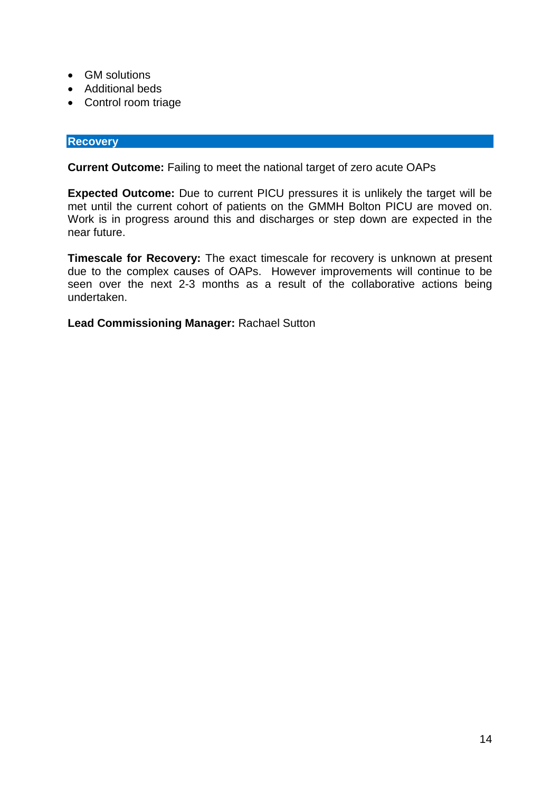- GM solutions
- Additional beds
- Control room triage

# **Recovery**

**Current Outcome:** Failing to meet the national target of zero acute OAPs

**Expected Outcome:** Due to current PICU pressures it is unlikely the target will be met until the current cohort of patients on the GMMH Bolton PICU are moved on. Work is in progress around this and discharges or step down are expected in the near future.

**Timescale for Recovery:** The exact timescale for recovery is unknown at present due to the complex causes of OAPs. However improvements will continue to be seen over the next 2-3 months as a result of the collaborative actions being undertaken.

**Lead Commissioning Manager:** Rachael Sutton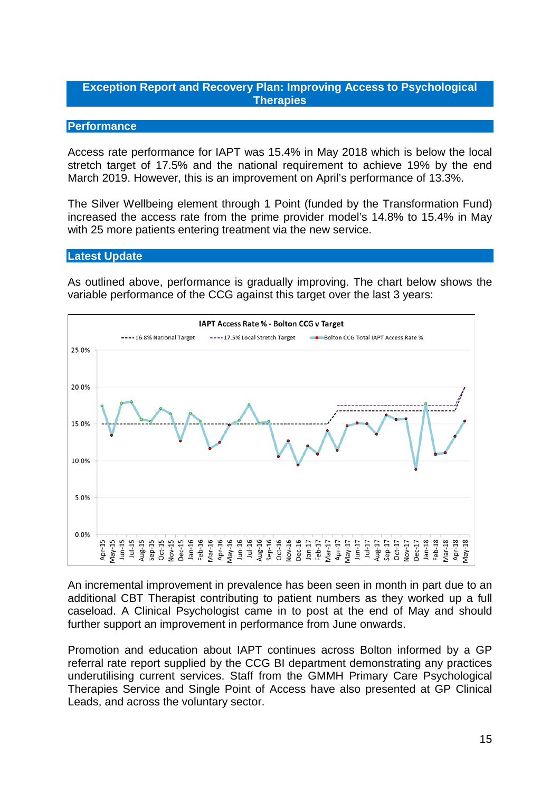# **Exception Report and Recovery Plan: Improving Access to Psychological Therapies**

## **Performance**

Access rate performance for IAPT was 15.4% in May 2018 which is below the local stretch target of 17.5% and the national requirement to achieve 19% by the end March 2019. However, this is an improvement on April's performance of 13.3%.

The Silver Wellbeing element through 1 Point (funded by the Transformation Fund) increased the access rate from the prime provider model's 14.8% to 15.4% in May with 25 more patients entering treatment via the new service.

## **Latest Update**

As outlined above, performance is gradually improving. The chart below shows the variable performance of the CCG against this target over the last 3 years:



An incremental improvement in prevalence has been seen in month in part due to an additional CBT Therapist contributing to patient numbers as they worked up a full caseload. A Clinical Psychologist came in to post at the end of May and should further support an improvement in performance from June onwards.

Promotion and education about IAPT continues across Bolton informed by a GP referral rate report supplied by the CCG BI department demonstrating any practices underutilising current services. Staff from the GMMH Primary Care Psychological Therapies Service and Single Point of Access have also presented at GP Clinical Leads, and across the voluntary sector.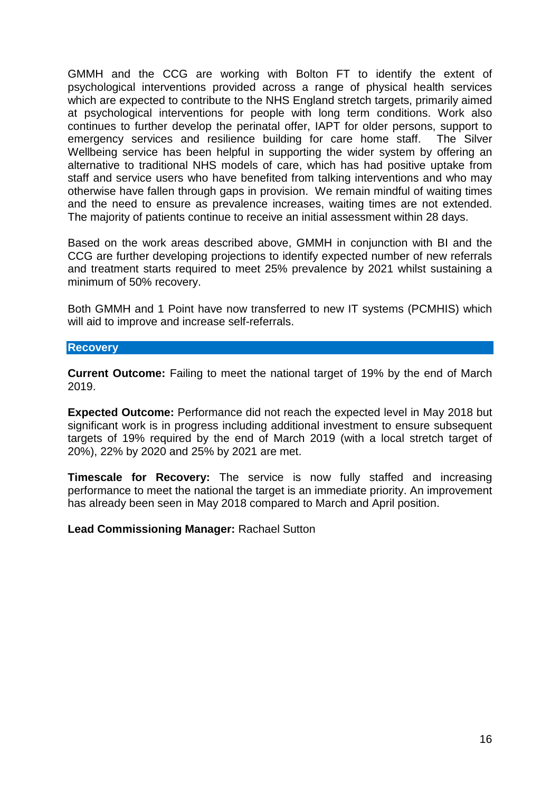GMMH and the CCG are working with Bolton FT to identify the extent of psychological interventions provided across a range of physical health services which are expected to contribute to the NHS England stretch targets, primarily aimed at psychological interventions for people with long term conditions. Work also continues to further develop the perinatal offer, IAPT for older persons, support to emergency services and resilience building for care home staff. The Silver Wellbeing service has been helpful in supporting the wider system by offering an alternative to traditional NHS models of care, which has had positive uptake from staff and service users who have benefited from talking interventions and who may otherwise have fallen through gaps in provision. We remain mindful of waiting times and the need to ensure as prevalence increases, waiting times are not extended. The majority of patients continue to receive an initial assessment within 28 days.

Based on the work areas described above, GMMH in conjunction with BI and the CCG are further developing projections to identify expected number of new referrals and treatment starts required to meet 25% prevalence by 2021 whilst sustaining a minimum of 50% recovery.

Both GMMH and 1 Point have now transferred to new IT systems (PCMHIS) which will aid to improve and increase self-referrals.

#### **Recovery**

**Current Outcome:** Failing to meet the national target of 19% by the end of March 2019.

**Expected Outcome:** Performance did not reach the expected level in May 2018 but significant work is in progress including additional investment to ensure subsequent targets of 19% required by the end of March 2019 (with a local stretch target of 20%), 22% by 2020 and 25% by 2021 are met.

**Timescale for Recovery:** The service is now fully staffed and increasing performance to meet the national the target is an immediate priority. An improvement has already been seen in May 2018 compared to March and April position.

**Lead Commissioning Manager:** Rachael Sutton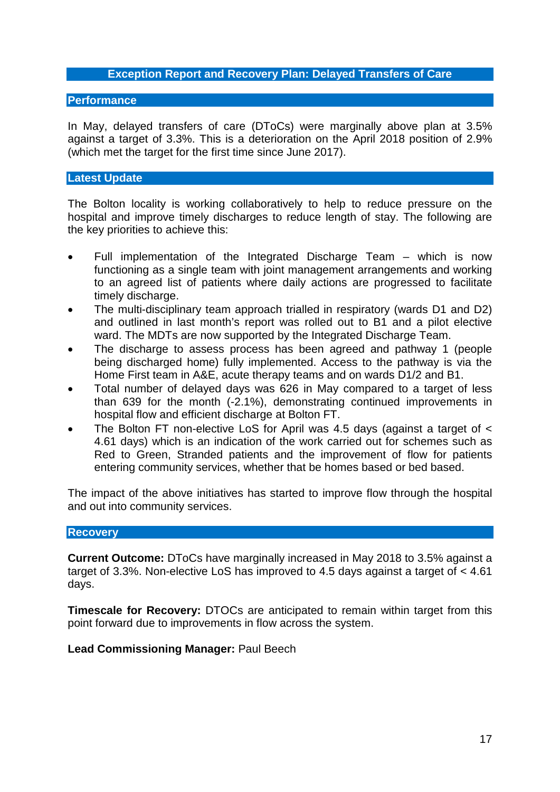## **Exception Report and Recovery Plan: Delayed Transfers of Care**

#### **Performance**

In May, delayed transfers of care (DToCs) were marginally above plan at 3.5% against a target of 3.3%. This is a deterioration on the April 2018 position of 2.9% (which met the target for the first time since June 2017).

## **Latest Update**

The Bolton locality is working collaboratively to help to reduce pressure on the hospital and improve timely discharges to reduce length of stay. The following are the key priorities to achieve this:

- Full implementation of the Integrated Discharge Team which is now functioning as a single team with joint management arrangements and working to an agreed list of patients where daily actions are progressed to facilitate timely discharge.
- The multi-disciplinary team approach trialled in respiratory (wards D1 and D2) and outlined in last month's report was rolled out to B1 and a pilot elective ward. The MDTs are now supported by the Integrated Discharge Team.
- The discharge to assess process has been agreed and pathway 1 (people being discharged home) fully implemented. Access to the pathway is via the Home First team in A&E, acute therapy teams and on wards D1/2 and B1.
- Total number of delayed days was 626 in May compared to a target of less than 639 for the month (-2.1%), demonstrating continued improvements in hospital flow and efficient discharge at Bolton FT.
- The Bolton FT non-elective LoS for April was 4.5 days (against a target of < 4.61 days) which is an indication of the work carried out for schemes such as Red to Green, Stranded patients and the improvement of flow for patients entering community services, whether that be homes based or bed based.

The impact of the above initiatives has started to improve flow through the hospital and out into community services.

## **Recovery**

**Current Outcome:** DToCs have marginally increased in May 2018 to 3.5% against a target of 3.3%. Non-elective LoS has improved to 4.5 days against a target of < 4.61 days.

**Timescale for Recovery:** DTOCs are anticipated to remain within target from this point forward due to improvements in flow across the system.

## **Lead Commissioning Manager:** Paul Beech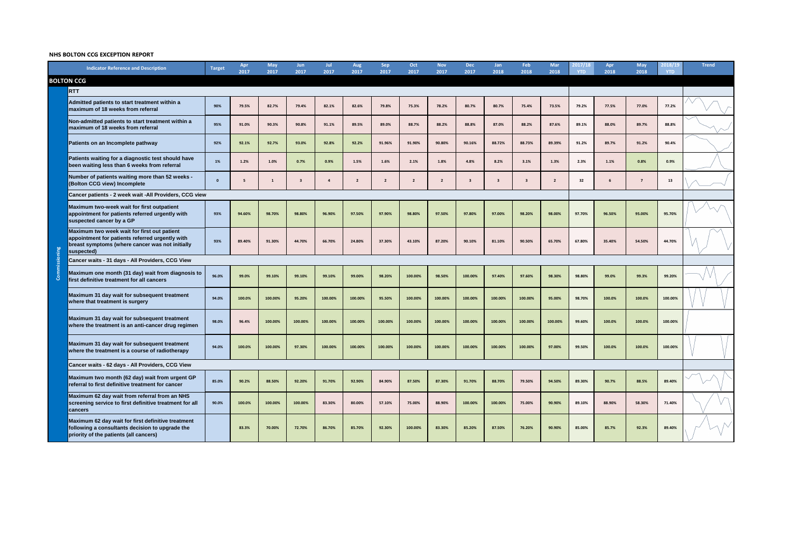# **NHS BOLTON CCG EXCEPTION REPORT**



|               | <b>Indicator Reference and Description</b>                                                                                                                      | <b>Target</b> | Apr<br>2017 | <b>May</b><br>2017 | Jun<br>2017 | Jul<br>2017 | <b>Aug</b><br>2017 | <b>Sep</b><br>2017 | Oct<br>2017             | <b>Nov</b><br>2017      | <b>Dec</b><br>2017 | <b>Jan</b><br>2018 | Feb<br>2018             | <b>Mar</b><br>2018 | 2017/18<br><b>YTD</b> | Apr<br>2018 | <b>May</b><br>2018 | 2018/19<br><b>YTD</b> |  |
|---------------|-----------------------------------------------------------------------------------------------------------------------------------------------------------------|---------------|-------------|--------------------|-------------|-------------|--------------------|--------------------|-------------------------|-------------------------|--------------------|--------------------|-------------------------|--------------------|-----------------------|-------------|--------------------|-----------------------|--|
|               | <b>BOLTON CCG</b>                                                                                                                                               |               |             |                    |             |             |                    |                    |                         |                         |                    |                    |                         |                    |                       |             |                    |                       |  |
|               | <b>RTT</b>                                                                                                                                                      |               |             |                    |             |             |                    |                    |                         |                         |                    |                    |                         |                    |                       |             |                    |                       |  |
|               | Admitted patients to start treatment within a<br>maximum of 18 weeks from referral                                                                              | 90%           | 79.5%       | 82.7%              | 79.4%       | 82.1%       | 82.6%              | 79.8%              | 75.3%                   | 78.2%                   | 80.7%              | 80.7%              | 75.4%                   | 73.5%              | 79.2%                 | 77.5%       | 77.0%              | 77.2%                 |  |
|               | Non-admitted patients to start treatment within a<br>maximum of 18 weeks from referral                                                                          | 95%           | 91.0%       | 90.3%              | 90.8%       | 91.1%       | 89.5%              | 89.0%              | 88.7%                   | 88.2%                   | 88.8%              | 87.0%              | 88.2%                   | 87.6%              | 89.1%                 | 88.0%       | 89.7%              | 88.8%                 |  |
|               | Patients on an Incomplete pathway                                                                                                                               | 92%           | 92.1%       | 92.7%              | 93.0%       | 92.8%       | 92.2%              | 91.96%             | 91.90%                  | 90.80%                  | 90.16%             | 88.72%             | 88.73%                  | 89.39%             | 91.2%                 | 89.7%       | 91.2%              | 90.4%                 |  |
|               | Patients waiting for a diagnostic test should have<br>been waiting less than 6 weeks from referral                                                              | 1%            | 1.2%        | 1.0%               | 0.7%        | 0.9%        | 1.5%               | 1.6%               | 2.1%                    | 1.8%                    | 4.8%               | 8.2%               | 3.1%                    | 1.3%               | 2.3%                  | 1.1%        | 0.8%               | 0.9%                  |  |
|               | Number of patients waiting more than 52 weeks -<br>(Bolton CCG view) Incomplete                                                                                 | - 0           |             |                    |             |             | $\overline{2}$     | $\overline{2}$     | $\overline{\mathbf{2}}$ | $\overline{\mathbf{2}}$ |                    |                    | $\overline{\mathbf{3}}$ | $\overline{2}$     | 32                    | 6           | $\overline{7}$     | 13                    |  |
|               | Cancer patients - 2 week wait - All Providers, CCG view                                                                                                         |               |             |                    |             |             |                    |                    |                         |                         |                    |                    |                         |                    |                       |             |                    |                       |  |
|               | Maximum two-week wait for first outpatient<br>appointment for patients referred urgently with<br>suspected cancer by a GP                                       | 93%           | 94.60%      | 98.70%             | 98.80%      | 96.90%      | 97.50%             | 97.90%             | 98.80%                  | 97.50%                  | 97.80%             | 97.00%             | 98.20%                  | 98.00%             | 97.70%                | 96.50%      | 95.00%             | 95.70%                |  |
|               | Maximum two week wait for first out patient<br>appointment for patients referred urgently with<br>breast symptoms (where cancer was not initially<br>suspected) | 93%           | 89.40%      | 91.30%             | 44.70%      | 66.70%      | 24.80%             | 37.30%             | 43.10%                  | 87.20%                  | 90.10%             | 81.10%             | 90.50%                  | 65.70%             | 67.80%                | 35.40%      | 54.50%             | 44.70%                |  |
|               | Cancer waits - 31 days - All Providers, CCG View                                                                                                                |               |             |                    |             |             |                    |                    |                         |                         |                    |                    |                         |                    |                       |             |                    |                       |  |
| Commissioning | Maximum one month (31 day) wait from diagnosis to<br>first definitive treatment for all cancers                                                                 | 96.0%         | 99.0%       | 99.10%             | 99.10%      | 99.10%      | 99.00%             | 98.20%             | 100.00%                 | 98.50%                  | 100.00%            | 97.40%             | 97.60%                  | 98.30%             | 98.80%                | 99.0%       | 99.3%              | 99.20%                |  |
|               | Maximum 31 day wait for subsequent treatment<br>where that treatment is surgery                                                                                 | 94.0%         | 100.0%      | 100.00%            | 95.20%      | 100.00%     | 100.00%            | 95.50%             | 100.00%                 | 100.00%                 | 100.00%            | 100.00%            | 100.00%                 | 95.00%             | 98.70%                | 100.0%      | 100.0%             | 100.00%               |  |
|               | Maximum 31 day wait for subsequent treatment<br>where the treatment is an anti-cancer drug regimen                                                              | 98.0%         | 96.4%       | 100.00%            | 100.00%     | 100.00%     | 100.00%            | 100.00%            | 100.00%                 | 100.00%                 | 100.00%            | 100.00%            | 100.00%                 | 100.00%            | 99.60%                | 100.0%      | 100.0%             | 100.00%               |  |
|               | Maximum 31 day wait for subsequent treatment<br>where the treatment is a course of radiotherapy                                                                 | 94.0%         | 100.0%      | 100.00%            | 97.30%      | 100.00%     | 100.00%            | 100.00%            | 100.00%                 | 100.00%                 | 100.00%            | 100.00%            | 100.00%                 | 97.00%             | 99.50%                | 100.0%      | 100.0%             | 100.00%               |  |
|               | Cancer waits - 62 days - All Providers, CCG View                                                                                                                |               |             |                    |             |             |                    |                    |                         |                         |                    |                    |                         |                    |                       |             |                    |                       |  |
|               | Maximum two month (62 day) wait from urgent GP<br>referral to first definitive treatment for cancer                                                             | 85.0%         | 90.2%       | 88.50%             | 92.20%      | 91.70%      | 92.90%             | 84.90%             | 87.50%                  | 87.30%                  | 91.70%             | 88.70%             | 79.50%                  | 94.50%             | 89.30%                | 90.7%       | 88.5%              | 89.40%                |  |
|               | Maximum 62 day wait from referral from an NHS<br>screening service to first definitive treatment for all<br><b>cancers</b>                                      | 90.0%         | 100.0%      | 100.00%            | 100.00%     | 83.30%      | 80.00%             | 57.10%             | 75.00%                  | 88.90%                  | 100.00%            | 100.00%            | 75.00%                  | 90.90%             | 89.10%                | 88.90%      | 58.30%             | 71.40%                |  |
|               | Maximum 62 day wait for first definitive treatment<br>following a consultants decision to upgrade the<br>priority of the patients (all cancers)                 |               | 83.3%       | 70.00%             | 72.70%      | 86.70%      | 85.70%             | 92.30%             | 100.00%                 | 83.30%                  | 85.20%             | 87.50%             | 76.20%                  | 90.90%             | 85.00%                | 85.7%       | 92.3%              | 89.40%                |  |
|               |                                                                                                                                                                 |               |             |                    |             |             |                    |                    |                         |                         |                    |                    |                         |                    |                       |             |                    |                       |  |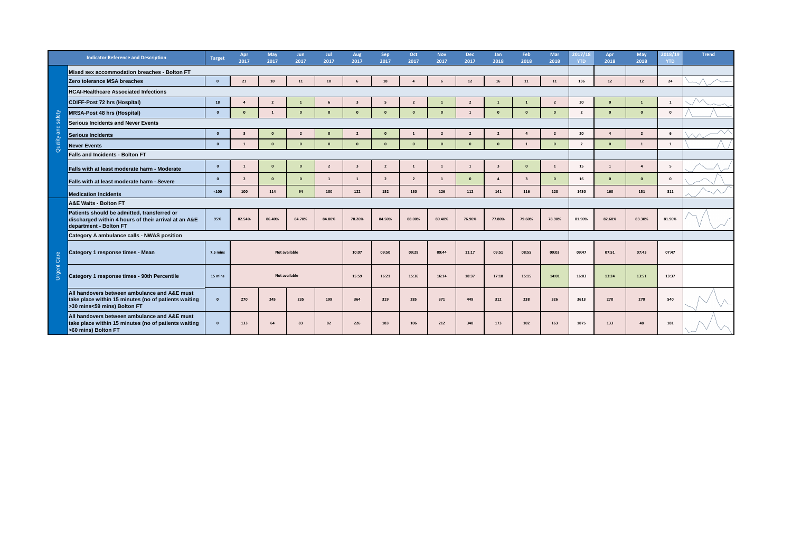

|          | <b>Indicator Reference and Description</b>                                                                                          | <b>Target</b>   | Apr<br>2017    | <b>May</b><br>2017 | <b>Jun</b><br>2017   | 2017                    | <b>Aug</b><br>2017 | <b>Sep</b><br>2017 | Oct<br>2017    | <b>Nov</b><br>2017 | <b>Dec</b><br>2017 | Jan<br>2018  | Feb<br>2018  | <b>Mar</b><br>2018 | 2017/18<br><b>YTD</b> | Apr<br>2018 | <b>May</b><br>2018    | 2018/19<br><b>YTD</b> |
|----------|-------------------------------------------------------------------------------------------------------------------------------------|-----------------|----------------|--------------------|----------------------|-------------------------|--------------------|--------------------|----------------|--------------------|--------------------|--------------|--------------|--------------------|-----------------------|-------------|-----------------------|-----------------------|
|          | Mixed sex accommodation breaches - Bolton FT                                                                                        |                 |                |                    |                      |                         |                    |                    |                |                    |                    |              |              |                    |                       |             |                       |                       |
|          | Zero tolerance MSA breaches                                                                                                         |                 | 21             | 10                 | 11                   | 10                      | 6                  | 18                 |                | 6                  | 12                 | <b>16</b>    | 11           | 11                 | 136                   | <b>12</b>   | 12                    | 24                    |
|          | <b>HCAI-Healthcare Associated Infections</b>                                                                                        |                 |                |                    |                      |                         |                    |                    |                |                    |                    |              |              |                    |                       |             |                       |                       |
|          | <b>CDIFF-Post 72 hrs (Hospital)</b>                                                                                                 | 18              |                |                    |                      | -6                      |                    |                    |                |                    |                    |              |              |                    | 30                    |             |                       | $\mathbf{1}$          |
| afety    | <b>MRSA-Post 48 hrs (Hospital)</b>                                                                                                  | 0               | $\mathbf{0}$   |                    | 0                    | $\mathbf{0}$            | $\mathbf 0$        | 0                  | 0              | $\mathbf{0}$       | 1                  | $\mathbf 0$  | $\mathbf{0}$ | $\mathbf{0}$       | $\overline{2}$        | $\mathbf 0$ | $\mathbf{0}$          | $\mathbf{0}$          |
|          | <b>Serious Incidents and Never Events</b>                                                                                           |                 |                |                    |                      |                         |                    |                    |                |                    |                    |              |              |                    |                       |             |                       |                       |
| bue      | Serious Incidents                                                                                                                   |                 |                |                    |                      | $\Omega$                |                    |                    |                | -2                 |                    |              |              |                    | 20                    |             | $\overline{2}$        | - 6                   |
| villan!  | <b>Never Events</b>                                                                                                                 | 0               |                | $\mathbf 0$        | 0                    | $\mathbf{0}$            | $\mathbf 0$        | 0                  | 0              | $\mathbf{0}$       | $\mathbf{0}$       | $\mathbf{0}$ | - 1          | $\mathbf{0}$       | $\overline{2}$        | $\mathbf 0$ | 1                     | $\blacksquare$        |
| $\sigma$ | <b>Falls and Incidents - Bolton FT</b>                                                                                              |                 |                |                    |                      |                         |                    |                    |                |                    |                    |              |              |                    |                       |             |                       |                       |
|          | <b>Falls with at least moderate harm - Moderate</b>                                                                                 |                 |                | 0                  |                      | $\overline{\mathbf{2}}$ |                    |                    |                |                    |                    | -3           | $\Omega$     |                    | 15                    |             | $\boldsymbol{\Delta}$ | 5 <sup>5</sup>        |
|          | <b>Falls with at least moderate harm - Severe</b>                                                                                   |                 | $\overline{2}$ |                    |                      | -1                      |                    |                    | $\overline{2}$ |                    |                    | -4           |              |                    | 16                    | $\mathbf 0$ | $\mathbf{0}$          | $\Omega$              |
|          | <b>Medication Incidents</b>                                                                                                         | $<100$          | 100            | 114                | 94                   | 100                     | 122                | 152                | 130            | 126                | 112                | 141          | <b>116</b>   | 123                | 1430                  | 160         | 151                   | 311                   |
|          | <b>A&amp;E Waits - Bolton FT</b>                                                                                                    |                 |                |                    |                      |                         |                    |                    |                |                    |                    |              |              |                    |                       |             |                       |                       |
|          | Patients should be admitted, transferred or<br>discharged within 4 hours of their arrival at an A&E<br>department - Bolton FT       | 95%             | 82.54%         | 86.40%             | 84.70%               | 84.80%                  | 78.20%             | 84.50%             | 88.00%         | 80.40%             | 76.90%             | 77.80%       | 79.60%       | 78.90%             | 81.90%                | 82.60%      | 83.30%                | 81.90%                |
|          | <b>Category A ambulance calls - NWAS position</b>                                                                                   |                 |                |                    |                      |                         |                    |                    |                |                    |                    |              |              |                    |                       |             |                       |                       |
| Care     | <b>Category 1 response times - Mean</b>                                                                                             | <b>7.5 mins</b> |                |                    | <b>Not available</b> |                         | 10:07              | 09:50              | 09:29          | 09:44              | 11:17              | 09:51        | 08:55        | 09:03              | 09:47                 | 07:51       | 07:43                 | 07:47                 |
| ent<br>g | <b>Category 1 response times - 90th Percentile</b>                                                                                  | 15 mins         |                |                    | <b>Not available</b> |                         | 15:59              | 16:21              | 15:36          | 16:14              | 18:37              | 17:18        | 15:15        | 14:01              | 16:03                 | 13:24       | 13:51                 | 13:37                 |
|          | All handovers between ambulance and A&E must<br>take place within 15 minutes (no of patients waiting<br>>30 mins<59 mins) Bolton FT |                 | 270            | 245                | 235                  | 199                     | 364                | 319                | 285            | 371                | 449                | 312          | 238          | 326                | 3613                  | 270         | 270                   | 540                   |
|          | All handovers between ambulance and A&E must<br>take place within 15 minutes (no of patients waiting<br>>60 mins) Bolton FT         | $\Omega$        | 133            | 64                 | 83                   | 82                      | 226                | 183                | 106            | 212                | 348                | 173          | 102          | 163                | 1875                  | 133         | 48                    | 181                   |